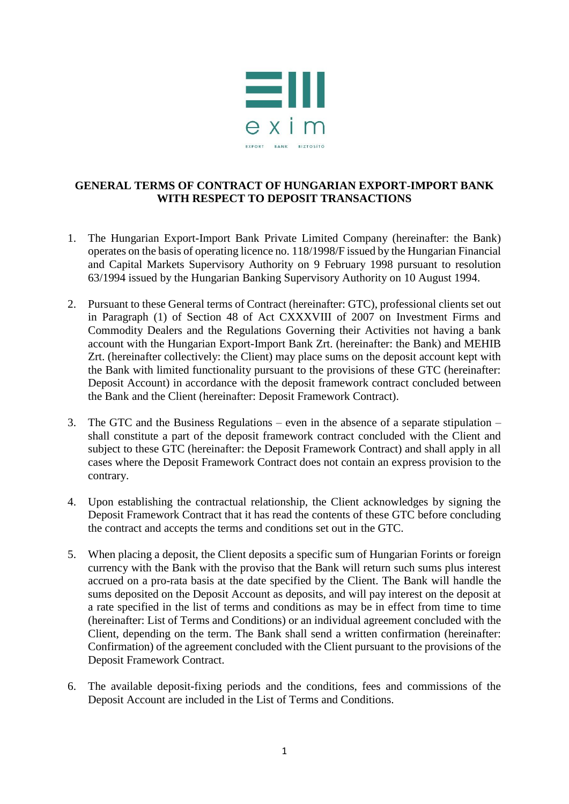

## **GENERAL TERMS OF CONTRACT OF HUNGARIAN EXPORT-IMPORT BANK WITH RESPECT TO DEPOSIT TRANSACTIONS**

- 1. The Hungarian Export-Import Bank Private Limited Company (hereinafter: the Bank) operates on the basis of operating licence no. 118/1998/F issued by the Hungarian Financial and Capital Markets Supervisory Authority on 9 February 1998 pursuant to resolution 63/1994 issued by the Hungarian Banking Supervisory Authority on 10 August 1994.
- 2. Pursuant to these General terms of Contract (hereinafter: GTC), professional clients set out in Paragraph (1) of Section 48 of Act CXXXVIII of 2007 on Investment Firms and Commodity Dealers and the Regulations Governing their Activities not having a bank account with the Hungarian Export-Import Bank Zrt. (hereinafter: the Bank) and MEHIB Zrt. (hereinafter collectively: the Client) may place sums on the deposit account kept with the Bank with limited functionality pursuant to the provisions of these GTC (hereinafter: Deposit Account) in accordance with the deposit framework contract concluded between the Bank and the Client (hereinafter: Deposit Framework Contract).
- 3. The GTC and the Business Regulations even in the absence of a separate stipulation shall constitute a part of the deposit framework contract concluded with the Client and subject to these GTC (hereinafter: the Deposit Framework Contract) and shall apply in all cases where the Deposit Framework Contract does not contain an express provision to the contrary.
- 4. Upon establishing the contractual relationship, the Client acknowledges by signing the Deposit Framework Contract that it has read the contents of these GTC before concluding the contract and accepts the terms and conditions set out in the GTC.
- 5. When placing a deposit, the Client deposits a specific sum of Hungarian Forints or foreign currency with the Bank with the proviso that the Bank will return such sums plus interest accrued on a pro-rata basis at the date specified by the Client. The Bank will handle the sums deposited on the Deposit Account as deposits, and will pay interest on the deposit at a rate specified in the list of terms and conditions as may be in effect from time to time (hereinafter: List of Terms and Conditions) or an individual agreement concluded with the Client, depending on the term. The Bank shall send a written confirmation (hereinafter: Confirmation) of the agreement concluded with the Client pursuant to the provisions of the Deposit Framework Contract.
- 6. The available deposit-fixing periods and the conditions, fees and commissions of the Deposit Account are included in the List of Terms and Conditions.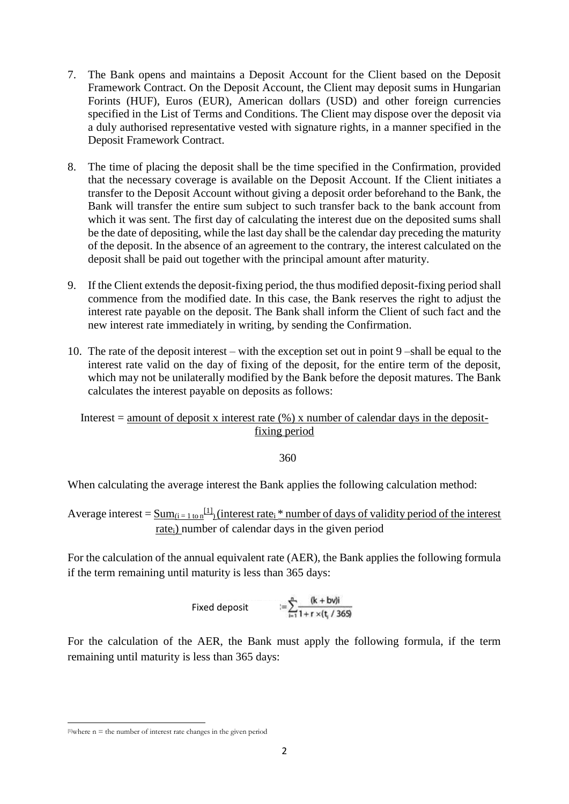- 7. The Bank opens and maintains a Deposit Account for the Client based on the Deposit Framework Contract. On the Deposit Account, the Client may deposit sums in Hungarian Forints (HUF), Euros (EUR), American dollars (USD) and other foreign currencies specified in the List of Terms and Conditions. The Client may dispose over the deposit via a duly authorised representative vested with signature rights, in a manner specified in the Deposit Framework Contract.
- 8. The time of placing the deposit shall be the time specified in the Confirmation, provided that the necessary coverage is available on the Deposit Account. If the Client initiates a transfer to the Deposit Account without giving a deposit order beforehand to the Bank, the Bank will transfer the entire sum subject to such transfer back to the bank account from which it was sent. The first day of calculating the interest due on the deposited sums shall be the date of depositing, while the last day shall be the calendar day preceding the maturity of the deposit. In the absence of an agreement to the contrary, the interest calculated on the deposit shall be paid out together with the principal amount after maturity.
- 9. If the Client extends the deposit-fixing period, the thus modified deposit-fixing period shall commence from the modified date. In this case, the Bank reserves the right to adjust the interest rate payable on the deposit. The Bank shall inform the Client of such fact and the new interest rate immediately in writing, by sending the Confirmation.
- 10. The rate of the deposit interest with the exception set out in point 9 –shall be equal to the interest rate valid on the day of fixing of the deposit, for the entire term of the deposit, which may not be unilaterally modified by the Bank before the deposit matures. The Bank calculates the interest payable on deposits as follows:

## Interest = amount of deposit x interest rate  $(\%)$  x number of calendar days in the depositfixing period

360

When calculating the average interest the Bank applies the following calculation method:

Average interest =  $\underline{Sum}_{(i=1 \text{ to } n}$ <sup>[1]</sup>) (interest rate<sub>i</sub> \* number of days of validity period of the interest rate<sub>i</sub>) number of calendar days in the given period

For the calculation of the annual equivalent rate (AER), the Bank applies the following formula if the term remaining until maturity is less than 365 days:

Fixed deposit 
$$
= \sum_{i=1}^{n} \frac{(k + bvi)}{1 + r \times (t_i / 365)}
$$

For the calculation of the AER, the Bank must apply the following formula, if the term remaining until maturity is less than 365 days:

 $\overline{a}$ 

 $[1]$ where n = the number of interest rate changes in the given period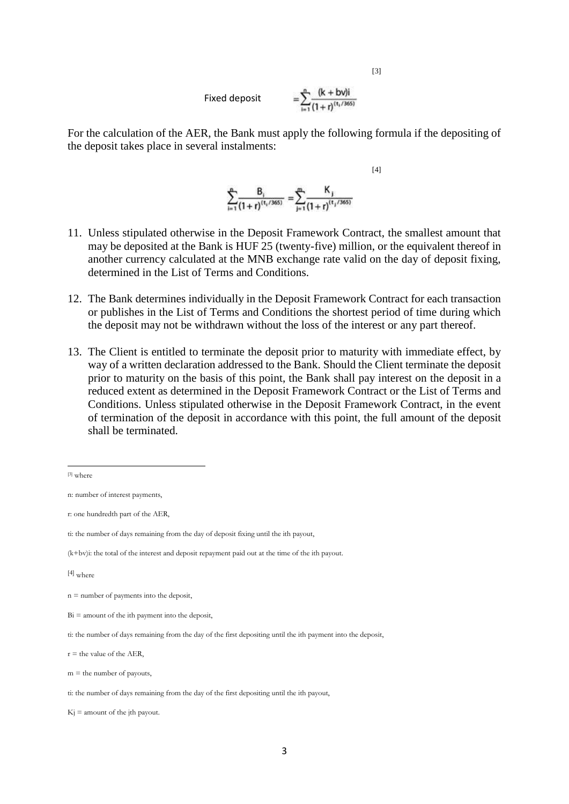Fixed deposit 
$$
= \sum_{i=1}^{n} \frac{(k + b\nu)i}{(1 + r)^{(t_i/365)}}
$$

[3]

[4]

For the calculation of the AER, the Bank must apply the following formula if the depositing of the deposit takes place in several instalments:

$$
\sum_{i=1}^{n} \frac{B_i}{(1+r)^{(t_i/365)}} = \sum_{j=1}^{m} \frac{K_j}{(1+r)^{(t_j/365)}}
$$

- 11. Unless stipulated otherwise in the Deposit Framework Contract, the smallest amount that may be deposited at the Bank is HUF 25 (twenty-five) million, or the equivalent thereof in another currency calculated at the MNB exchange rate valid on the day of deposit fixing, determined in the List of Terms and Conditions.
- 12. The Bank determines individually in the Deposit Framework Contract for each transaction or publishes in the List of Terms and Conditions the shortest period of time during which the deposit may not be withdrawn without the loss of the interest or any part thereof.
- 13. The Client is entitled to terminate the deposit prior to maturity with immediate effect, by way of a written declaration addressed to the Bank. Should the Client terminate the deposit prior to maturity on the basis of this point, the Bank shall pay interest on the deposit in a reduced extent as determined in the Deposit Framework Contract or the List of Terms and Conditions. Unless stipulated otherwise in the Deposit Framework Contract, in the event of termination of the deposit in accordance with this point, the full amount of the deposit shall be terminated.

**.** 

<sup>[3]</sup> where

n: number of interest payments,

r: one hundredth part of the AER,

ti: the number of days remaining from the day of deposit fixing until the ith payout,

<sup>(</sup>k+bv)i: the total of the interest and deposit repayment paid out at the time of the ith payout.

<sup>[4]</sup> where

n = number of payments into the deposit,

 $Bi =$  amount of the ith payment into the deposit,

ti: the number of days remaining from the day of the first depositing until the ith payment into the deposit,

 $r =$  the value of the AER,

 $m =$  the number of payouts,

ti: the number of days remaining from the day of the first depositing until the ith payout,

 $K_i$  = amount of the jth payout.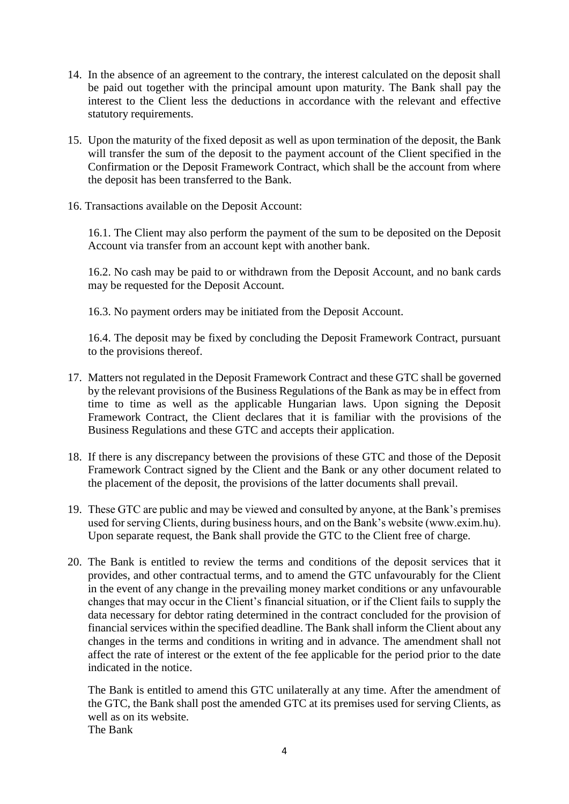- 14. In the absence of an agreement to the contrary, the interest calculated on the deposit shall be paid out together with the principal amount upon maturity. The Bank shall pay the interest to the Client less the deductions in accordance with the relevant and effective statutory requirements.
- 15. Upon the maturity of the fixed deposit as well as upon termination of the deposit, the Bank will transfer the sum of the deposit to the payment account of the Client specified in the Confirmation or the Deposit Framework Contract, which shall be the account from where the deposit has been transferred to the Bank.
- 16. Transactions available on the Deposit Account:

16.1. The Client may also perform the payment of the sum to be deposited on the Deposit Account via transfer from an account kept with another bank.

16.2. No cash may be paid to or withdrawn from the Deposit Account, and no bank cards may be requested for the Deposit Account.

16.3. No payment orders may be initiated from the Deposit Account.

16.4. The deposit may be fixed by concluding the Deposit Framework Contract, pursuant to the provisions thereof.

- 17. Matters not regulated in the Deposit Framework Contract and these GTC shall be governed by the relevant provisions of the Business Regulations of the Bank as may be in effect from time to time as well as the applicable Hungarian laws. Upon signing the Deposit Framework Contract, the Client declares that it is familiar with the provisions of the Business Regulations and these GTC and accepts their application.
- 18. If there is any discrepancy between the provisions of these GTC and those of the Deposit Framework Contract signed by the Client and the Bank or any other document related to the placement of the deposit, the provisions of the latter documents shall prevail.
- 19. These GTC are public and may be viewed and consulted by anyone, at the Bank's premises used for serving Clients, during business hours, and on the Bank's website (www.exim.hu). Upon separate request, the Bank shall provide the GTC to the Client free of charge.
- 20. The Bank is entitled to review the terms and conditions of the deposit services that it provides, and other contractual terms, and to amend the GTC unfavourably for the Client in the event of any change in the prevailing money market conditions or any unfavourable changes that may occur in the Client's financial situation, or if the Client fails to supply the data necessary for debtor rating determined in the contract concluded for the provision of financial services within the specified deadline. The Bank shall inform the Client about any changes in the terms and conditions in writing and in advance. The amendment shall not affect the rate of interest or the extent of the fee applicable for the period prior to the date indicated in the notice.

The Bank is entitled to amend this GTC unilaterally at any time. After the amendment of the GTC, the Bank shall post the amended GTC at its premises used for serving Clients, as well as on its website. The Bank